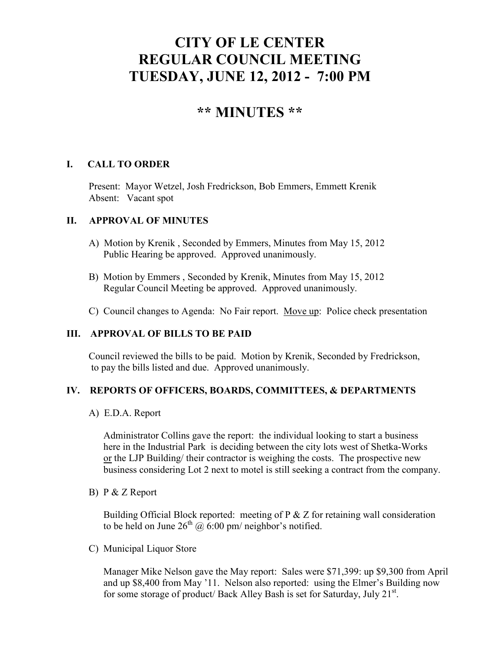# **CITY OF LE CENTER REGULAR COUNCIL MEETING TUESDAY, JUNE 12, 2012 - 7:00 PM**

# **\*\* MINUTES \*\***

# **I. CALL TO ORDER**

Present: Mayor Wetzel, Josh Fredrickson, Bob Emmers, Emmett Krenik Absent: Vacant spot

## **II. APPROVAL OF MINUTES**

- A) Motion by Krenik , Seconded by Emmers, Minutes from May 15, 2012 Public Hearing be approved. Approved unanimously.
- B) Motion by Emmers , Seconded by Krenik, Minutes from May 15, 2012 Regular Council Meeting be approved. Approved unanimously.
- C) Council changes to Agenda: No Fair report. Move up: Police check presentation

# **III. APPROVAL OF BILLS TO BE PAID**

Council reviewed the bills to be paid. Motion by Krenik, Seconded by Fredrickson, to pay the bills listed and due. Approved unanimously.

## **IV. REPORTS OF OFFICERS, BOARDS, COMMITTEES, & DEPARTMENTS**

#### A) E.D.A. Report

 Administrator Collins gave the report: the individual looking to start a business here in the Industrial Park is deciding between the city lots west of Shetka-Works or the LJP Building/ their contractor is weighing the costs. The prospective new business considering Lot 2 next to motel is still seeking a contract from the company.

B) P & Z Report

 Building Official Block reported: meeting of P & Z for retaining wall consideration to be held on June  $26^{th}$  @ 6:00 pm/ neighbor's notified.

C) Municipal Liquor Store

Manager Mike Nelson gave the May report: Sales were \$71,399: up \$9,300 from April and up \$8,400 from May '11. Nelson also reported: using the Elmer's Building now for some storage of product/ Back Alley Bash is set for Saturday, July 21<sup>st</sup>.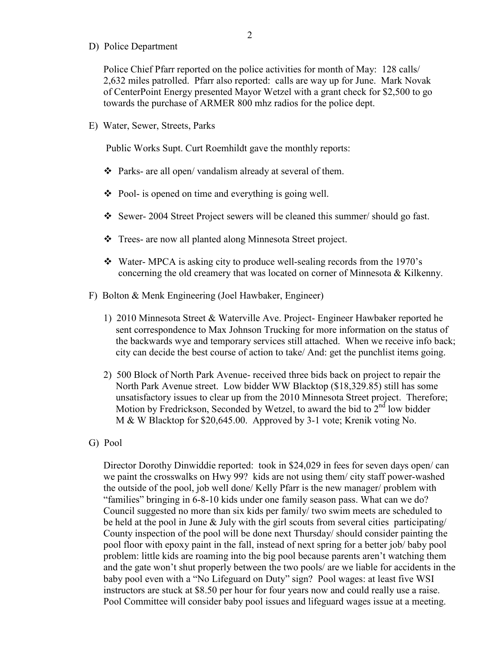D) Police Department

Police Chief Pfarr reported on the police activities for month of May: 128 calls/ 2,632 miles patrolled. Pfarr also reported: calls are way up for June. Mark Novak of CenterPoint Energy presented Mayor Wetzel with a grant check for \$2,500 to go towards the purchase of ARMER 800 mhz radios for the police dept.

E) Water, Sewer, Streets, Parks

Public Works Supt. Curt Roemhildt gave the monthly reports:

- Parks- are all open/ vandalism already at several of them.
- $\triangle$  Pool- is opened on time and everything is going well.
- Sewer- 2004 Street Project sewers will be cleaned this summer/ should go fast.
- Trees- are now all planted along Minnesota Street project.
- Water- MPCA is asking city to produce well-sealing records from the 1970's concerning the old creamery that was located on corner of Minnesota & Kilkenny.
- F) Bolton & Menk Engineering (Joel Hawbaker, Engineer)
	- 1) 2010 Minnesota Street & Waterville Ave. Project- Engineer Hawbaker reported he sent correspondence to Max Johnson Trucking for more information on the status of the backwards wye and temporary services still attached. When we receive info back; city can decide the best course of action to take/ And: get the punchlist items going.
	- 2) 500 Block of North Park Avenue- received three bids back on project to repair the North Park Avenue street. Low bidder WW Blacktop (\$18,329.85) still has some unsatisfactory issues to clear up from the 2010 Minnesota Street project. Therefore; Motion by Fredrickson, Seconded by Wetzel, to award the bid to  $2<sup>nd</sup>$  low bidder M & W Blacktop for \$20,645.00. Approved by 3-1 vote; Krenik voting No.
- G) Pool

 Director Dorothy Dinwiddie reported: took in \$24,029 in fees for seven days open/ can we paint the crosswalks on Hwy 99? kids are not using them/ city staff power-washed the outside of the pool, job well done/ Kelly Pfarr is the new manager/ problem with "families" bringing in 6-8-10 kids under one family season pass. What can we do? Council suggested no more than six kids per family/ two swim meets are scheduled to be held at the pool in June & July with the girl scouts from several cities participating/ County inspection of the pool will be done next Thursday/ should consider painting the pool floor with epoxy paint in the fall, instead of next spring for a better job/ baby pool problem: little kids are roaming into the big pool because parents aren't watching them and the gate won't shut properly between the two pools/ are we liable for accidents in the baby pool even with a "No Lifeguard on Duty" sign? Pool wages: at least five WSI instructors are stuck at \$8.50 per hour for four years now and could really use a raise. Pool Committee will consider baby pool issues and lifeguard wages issue at a meeting.